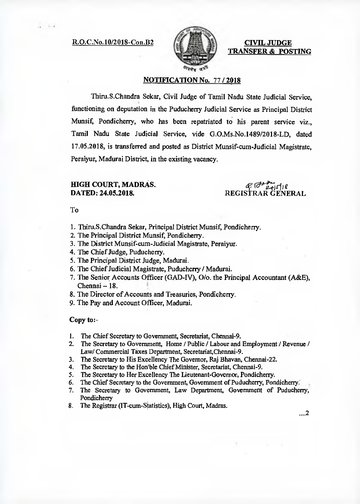R.O.C.No.10/2018-Con.B2



**CIVIL JUDGE TRANSFER & POSTING** 

## **NOTIFICATION No.** 77 / **2018**

Thiru.S.Chandra Sekar, Civil Judge of Tamil Nadu State Judicial Service, functioning on deputation in the Puducherry Judicial Service as Principal District Munsif, Pondicherry, who has been repatriated to his parent service viz., Tamil Nadu State Judicial Service, vide G.O.Ms.No.1489/2018-LD, dated 17.05.2018, is transferred and posted as District Munsif-cum-Judicial Magistrate, Peraiyur, Madurai District, in the existing vacancy.

# **HIGH COURT, MADRAS. DATED: 24.05.2018.**

 $G = 2 + 118$ REGISTRAR GENERAL

To

- 1. Thiru.S.Chandra Sekar, Principal District Munsif, Pondicherry.
- 2. The Principal District Munsif, Pondicherry.
- 3. The District Munsif-cum-Judicial Magistrate, Peraiyur.
- 4, The Chief Judge, Puducherry.
- 5. The Principal District Judge, Madurai.
- 6. The Chief Judicial Magistrate, Puducherry / Madurai.
- 7. The Senior Accounts Officer (GAD-IV), 0/o. the Principal Accountant (A&E), Chennai — 18.
- 8. The Director of Accounts and Treasuries, Pondicherry.
- 9. The Pay and Account Officer, Madurai.

#### **Copy** to:-

- 1. The Chief Secretary to Government, Secretariat, Chennai-9.<br>2. The Secretary to Government. Home / Public / Labour and
- 2. The Secretary to Government, Home / Public / Labour and Employment / Revenue / Law/ Commercial Taxes Department, Secretariat,Chennai-9.
- 3. The Secretary to His Excellency The Governor, Raj Bhavan, Chennai-22.
- 4. The Secretary to the Hon'ble Chief Minister, Secretariat, Chennai-9.
- 5. The Secretary to Her Excellency The Lieutenant-Governor, Pondicherry.
- 6. The Chief Secretary to the Government, Government of Puducherry, Pondicherry.
- 7. The Secretary to Government, Law Department, Government of Puducherry, Pondicherry
- 8. The Registrar (IT-cum-Statistics), High Court, Madras.

...2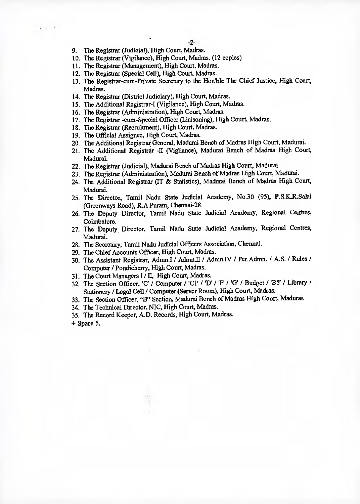9. The Registrar (Judicial), High Court, Madras.

 $\epsilon \in \mathbb{R}^d$ 

- 10. The Registrar (Vigilance), High Court, Madras. (12 copies)
- 11. The Registrar (Management), High Court, Madras.
- 12. The Registrar (Special Cell), High Court, Madras.
- 13. The Registrar-cum-Private Secretary to the Honble The Chief Justice, High Court, Madras.
- 14. The Registrar (District Judiciary), High Court, Madras.
- 15. The Additional Registrar-I (Vigilance), High Court, Madras.
- 16. The Registrar (Administration), High Court, Madras.
- 17. The Registrar -cum-Special Officer (Liaisoning), High Court, Madras.
- 18. The Registrar (Recruitment), High Court, Madras.
- 19. The Official Assignee, High Court, Madras.
- 20. The Additional Registrar General, Madurai Bench of Madras High Court, Madurai.
- 21. The Additional Registrar -II (Vigilance), Madurai Bench of Madras High Court, Madurai.
- 22. The Registrar (Judicial), Madurai Bench of Madras High Court, Madurai.
- 23. The Registrar (Administration), Madurai Bench of Madras High Court, Madurai.
- 24. The Additional Registrar (IT & Statistics), Madurai Bench of Madras High Court, Madurai.
- 25. The Director, Tamil Nadu State Judicial Academy, No.30 (95), P.S.K.R.Salai (Greenways Road), R.A.Puram, Chennai-28.
- 26. The Deputy Director, Tamil Nadu State Judicial Academy, Regional Centres, Coimbatore.
- 27. The Deputy Director, Tamil Nadu State Judicial Academy, Regional Centres, Madurai.
- 28. The Secretary, Tamil Nadu Judicial Officers Association, Chennai.
- 29. The Chief Accounts Officer, High Court, Madras.
- 30. The Assistant Registrar, Admn.l / Admn.II / Admn.IV / Per.Admn. / A.S. / Rules / Computer / Pondicherry, High Court, Madras.
- 31. The Court Managers I / II, High Court, Madras.
- 32. The Section Officer, 'C'/ Computer / 'Cl' / 'D' / 'F' / 'G' / Budget / 'B5' / Library / Stationery / Legal Cell / Computer (Server Room), High Court, Madras.
- 33. The Section Officer, "B" Section, Madurai Bench of Madras High Court, Madurai.
- 34. The Technical Director, NIC, High Court, Madras.
- 35. The Record Keeper, A.D. Records, High Court, Madras.
- + Spare 5.